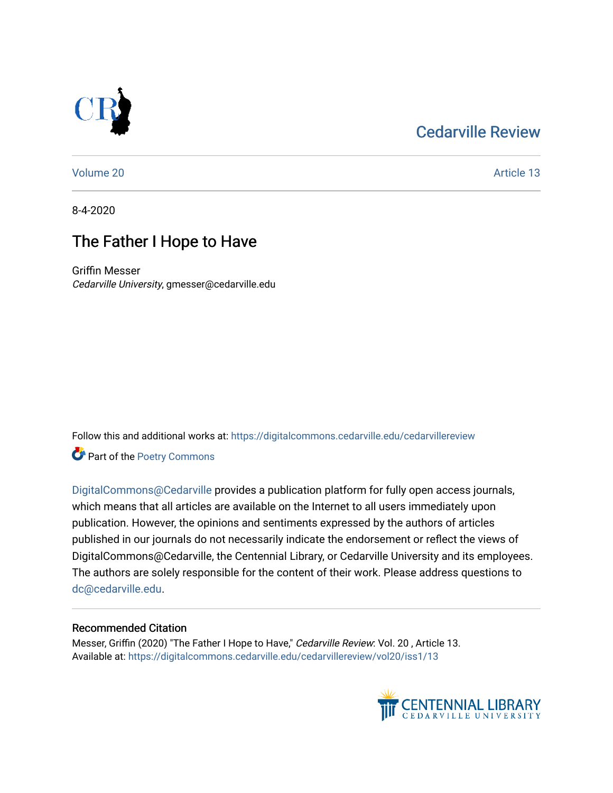## [Cedarville Review](https://digitalcommons.cedarville.edu/cedarvillereview)



[Volume 20](https://digitalcommons.cedarville.edu/cedarvillereview/vol20) Article 13

8-4-2020

## The Father I Hope to Have

Griffin Messer Cedarville University, gmesser@cedarville.edu

Follow this and additional works at: [https://digitalcommons.cedarville.edu/cedarvillereview](https://digitalcommons.cedarville.edu/cedarvillereview?utm_source=digitalcommons.cedarville.edu%2Fcedarvillereview%2Fvol20%2Fiss1%2F13&utm_medium=PDF&utm_campaign=PDFCoverPages) 

Part of the [Poetry Commons](http://network.bepress.com/hgg/discipline/1153?utm_source=digitalcommons.cedarville.edu%2Fcedarvillereview%2Fvol20%2Fiss1%2F13&utm_medium=PDF&utm_campaign=PDFCoverPages) 

[DigitalCommons@Cedarville](http://digitalcommons.cedarville.edu/) provides a publication platform for fully open access journals, which means that all articles are available on the Internet to all users immediately upon publication. However, the opinions and sentiments expressed by the authors of articles published in our journals do not necessarily indicate the endorsement or reflect the views of DigitalCommons@Cedarville, the Centennial Library, or Cedarville University and its employees. The authors are solely responsible for the content of their work. Please address questions to [dc@cedarville.edu.](mailto:dc@cedarville.edu)

#### Recommended Citation

Messer, Griffin (2020) "The Father I Hope to Have," Cedarville Review: Vol. 20, Article 13. Available at: [https://digitalcommons.cedarville.edu/cedarvillereview/vol20/iss1/13](https://digitalcommons.cedarville.edu/cedarvillereview/vol20/iss1/13?utm_source=digitalcommons.cedarville.edu%2Fcedarvillereview%2Fvol20%2Fiss1%2F13&utm_medium=PDF&utm_campaign=PDFCoverPages)

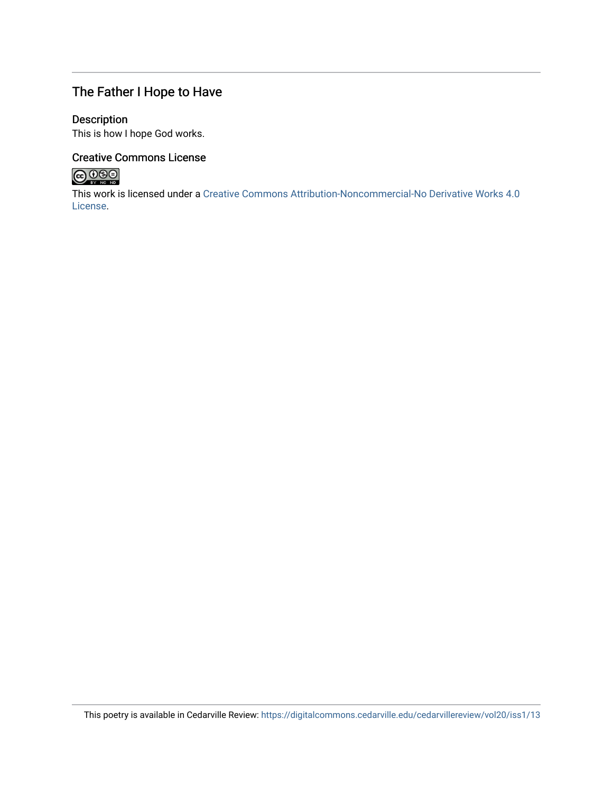### The Father I Hope to Have

#### Description

This is how I hope God works.

#### Creative Commons License



This work is licensed under a [Creative Commons Attribution-Noncommercial-No Derivative Works 4.0](http://creativecommons.org/licenses/by-nc-nd/4.0/) [License](http://creativecommons.org/licenses/by-nc-nd/4.0/).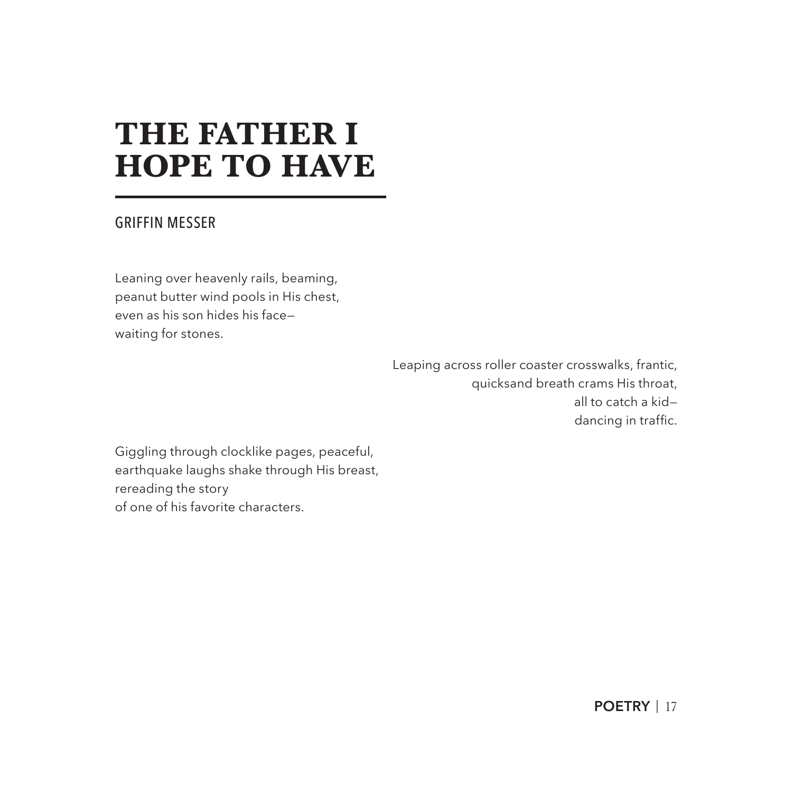# **THE FATHER I HOPE TO HAVE**

#### GRIFFIN MESSER

Leaning over heavenly rails, beaming, peanut butter wind pools in His chest, even as his son hides his face waiting for stones.

> Leaping across roller coaster crosswalks, frantic, quicksand breath crams His throat, all to catch a kid dancing in traffic.

Giggling through clocklike pages, peaceful, earthquake laughs shake through His breast, rereading the story of one of his favorite characters.

**POETRY** | 17